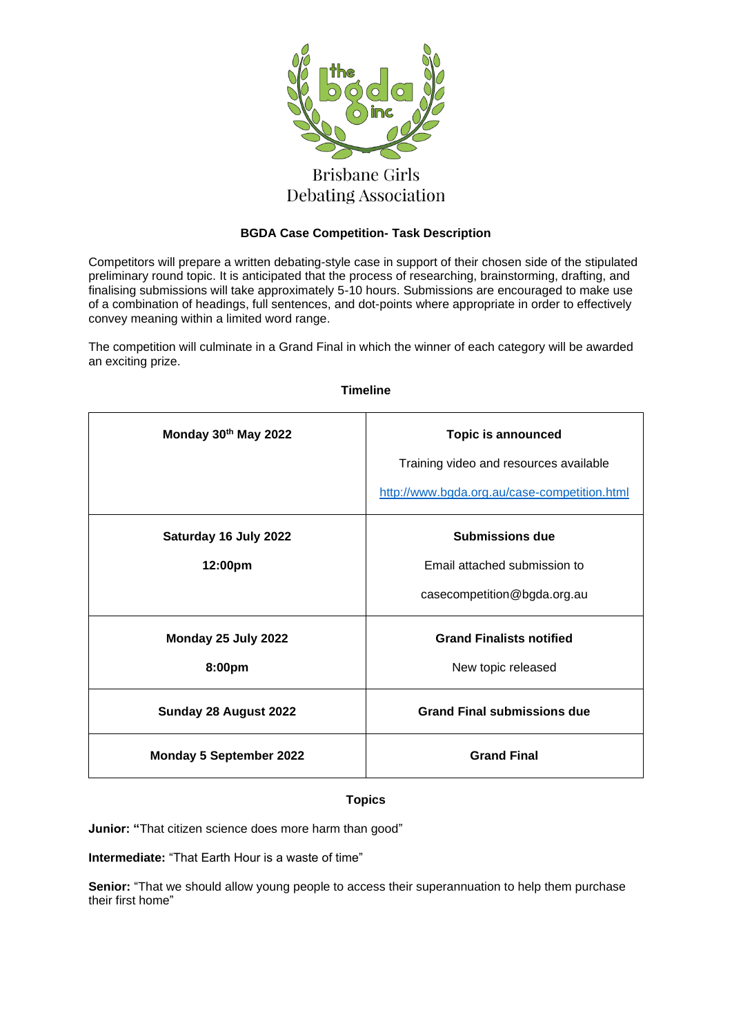

# **Debating Association**

# **BGDA Case Competition- Task Description**

Competitors will prepare a written debating-style case in support of their chosen side of the stipulated preliminary round topic. It is anticipated that the process of researching, brainstorming, drafting, and finalising submissions will take approximately 5-10 hours. Submissions are encouraged to make use of a combination of headings, full sentences, and dot-points where appropriate in order to effectively convey meaning within a limited word range.

The competition will culminate in a Grand Final in which the winner of each category will be awarded an exciting prize.

| Monday 30th May 2022             | <b>Topic is announced</b><br>Training video and resources available<br>http://www.bgda.org.au/case-competition.html |
|----------------------------------|---------------------------------------------------------------------------------------------------------------------|
| Saturday 16 July 2022<br>12:00pm | <b>Submissions due</b><br>Email attached submission to<br>casecompetition@bgda.org.au                               |
| Monday 25 July 2022<br>8:00pm    | <b>Grand Finalists notified</b><br>New topic released                                                               |
| Sunday 28 August 2022            | <b>Grand Final submissions due</b>                                                                                  |
| <b>Monday 5 September 2022</b>   | <b>Grand Final</b>                                                                                                  |

#### **Timeline**

# **Topics**

**Junior: "**That citizen science does more harm than good"

**Intermediate:** "That Earth Hour is a waste of time"

**Senior:** "That we should allow young people to access their superannuation to help them purchase their first home"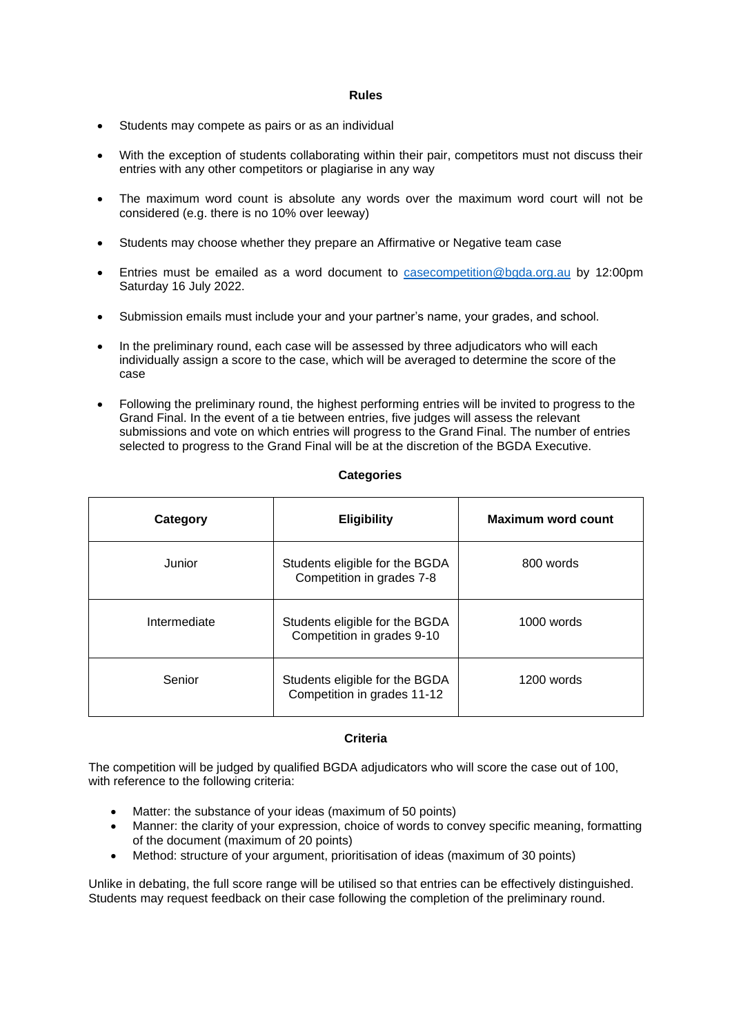#### **Rules**

- Students may compete as pairs or as an individual
- With the exception of students collaborating within their pair, competitors must not discuss their entries with any other competitors or plagiarise in any way
- The maximum word count is absolute any words over the maximum word court will not be considered (e.g. there is no 10% over leeway)
- Students may choose whether they prepare an Affirmative or Negative team case
- Entries must be emailed as a word document to [casecompetition@bgda.org.au](mailto:casecompetition@bgda.org.au) by 12:00pm Saturday 16 July 2022.
- Submission emails must include your and your partner's name, your grades, and school.
- In the preliminary round, each case will be assessed by three adjudicators who will each individually assign a score to the case, which will be averaged to determine the score of the case
- Following the preliminary round, the highest performing entries will be invited to progress to the Grand Final. In the event of a tie between entries, five judges will assess the relevant submissions and vote on which entries will progress to the Grand Final. The number of entries selected to progress to the Grand Final will be at the discretion of the BGDA Executive.

#### **Categories**

| Category     | <b>Eligibility</b>                                            | Maximum word count |
|--------------|---------------------------------------------------------------|--------------------|
| Junior       | Students eligible for the BGDA<br>Competition in grades 7-8   | 800 words          |
| Intermediate | Students eligible for the BGDA<br>Competition in grades 9-10  | 1000 words         |
| Senior       | Students eligible for the BGDA<br>Competition in grades 11-12 | 1200 words         |

#### **Criteria**

The competition will be judged by qualified BGDA adjudicators who will score the case out of 100, with reference to the following criteria:

- Matter: the substance of your ideas (maximum of 50 points)
- Manner: the clarity of your expression, choice of words to convey specific meaning, formatting of the document (maximum of 20 points)
- Method: structure of your argument, prioritisation of ideas (maximum of 30 points)

Unlike in debating, the full score range will be utilised so that entries can be effectively distinguished. Students may request feedback on their case following the completion of the preliminary round.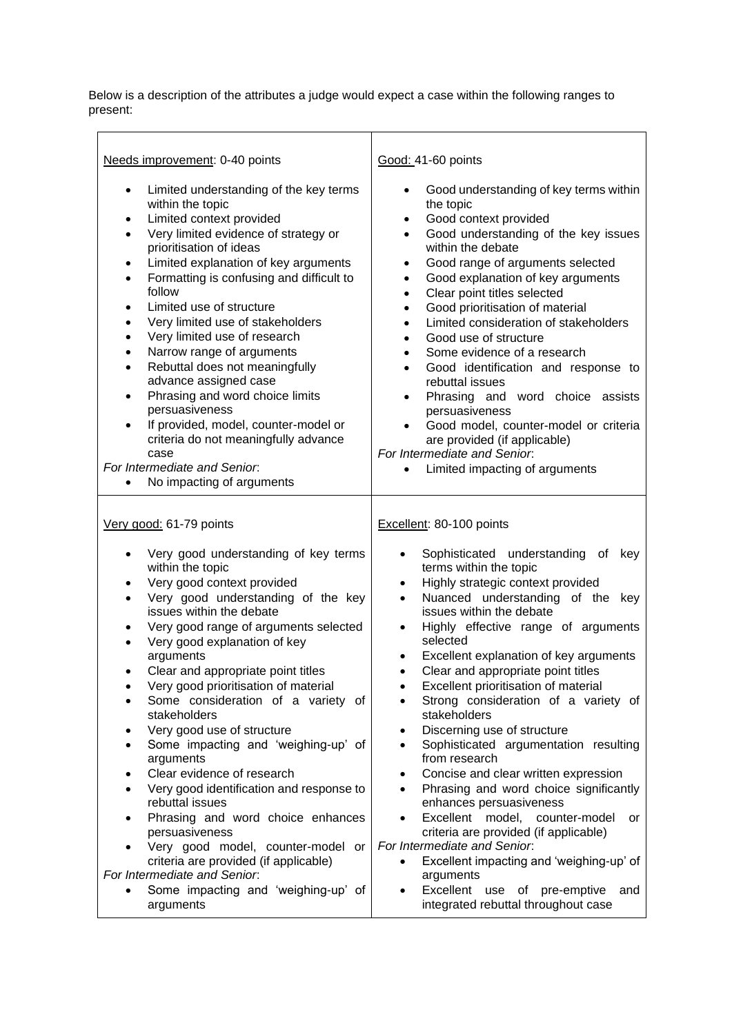Below is a description of the attributes a judge would expect a case within the following ranges to present:

 $\overline{a}$ 

| Needs improvement: 0-40 points                                                                                                                                                                                                                                                                                                                                                                                                                                                                                                                                                                                                                                                                                                                                                                           | Good: 41-60 points                                                                                                                                                                                                                                                                                                                                                                                                                                                                                                                                                                                                                                                                                                                                                                                                                            |
|----------------------------------------------------------------------------------------------------------------------------------------------------------------------------------------------------------------------------------------------------------------------------------------------------------------------------------------------------------------------------------------------------------------------------------------------------------------------------------------------------------------------------------------------------------------------------------------------------------------------------------------------------------------------------------------------------------------------------------------------------------------------------------------------------------|-----------------------------------------------------------------------------------------------------------------------------------------------------------------------------------------------------------------------------------------------------------------------------------------------------------------------------------------------------------------------------------------------------------------------------------------------------------------------------------------------------------------------------------------------------------------------------------------------------------------------------------------------------------------------------------------------------------------------------------------------------------------------------------------------------------------------------------------------|
| Limited understanding of the key terms<br>$\bullet$<br>within the topic<br>Limited context provided<br>$\bullet$<br>Very limited evidence of strategy or<br>$\bullet$<br>prioritisation of ideas<br>Limited explanation of key arguments<br>$\bullet$<br>Formatting is confusing and difficult to<br>$\bullet$<br>follow<br>Limited use of structure<br>$\bullet$<br>Very limited use of stakeholders<br>Very limited use of research<br>$\bullet$<br>Narrow range of arguments<br>$\bullet$<br>Rebuttal does not meaningfully<br>$\bullet$<br>advance assigned case<br>Phrasing and word choice limits<br>$\bullet$<br>persuasiveness<br>If provided, model, counter-model or<br>$\bullet$<br>criteria do not meaningfully advance<br>case<br>For Intermediate and Senior.<br>No impacting of arguments | Good understanding of key terms within<br>$\bullet$<br>the topic<br>Good context provided<br>$\bullet$<br>Good understanding of the key issues<br>$\bullet$<br>within the debate<br>Good range of arguments selected<br>$\bullet$<br>Good explanation of key arguments<br>$\bullet$<br>Clear point titles selected<br>$\bullet$<br>Good prioritisation of material<br>$\bullet$<br>Limited consideration of stakeholders<br>$\bullet$<br>Good use of structure<br>$\bullet$<br>Some evidence of a research<br>$\bullet$<br>Good identification and response to<br>$\bullet$<br>rebuttal issues<br>Phrasing and word choice assists<br>$\bullet$<br>persuasiveness<br>Good model, counter-model or criteria<br>$\bullet$<br>are provided (if applicable)<br>For Intermediate and Senior.<br>Limited impacting of arguments                     |
| Very good: 61-79 points                                                                                                                                                                                                                                                                                                                                                                                                                                                                                                                                                                                                                                                                                                                                                                                  | Excellent: 80-100 points                                                                                                                                                                                                                                                                                                                                                                                                                                                                                                                                                                                                                                                                                                                                                                                                                      |
| Very good understanding of key terms<br>within the topic<br>Very good context provided<br>Very good understanding of the key<br>issues within the debate<br>Very good range of arguments selected<br>Very good explanation of key<br>arguments<br>Clear and appropriate point titles<br>$\bullet$<br>Very good prioritisation of material<br>Some consideration of a variety of<br>stakeholders<br>Very good use of structure<br>Some impacting and 'weighing-up' of<br>arguments<br>Clear evidence of research<br>Very good identification and response to<br>rebuttal issues<br>Phrasing and word choice enhances<br>$\bullet$<br>persuasiveness<br>Very good model, counter-model or<br>$\bullet$                                                                                                     | Sophisticated understanding of key<br>$\bullet$<br>terms within the topic<br>Highly strategic context provided<br>٠<br>Nuanced understanding of the key<br>$\bullet$<br>issues within the debate<br>Highly effective range of arguments<br>$\bullet$<br>selected<br>Excellent explanation of key arguments<br>$\bullet$<br>Clear and appropriate point titles<br>$\bullet$<br>Excellent prioritisation of material<br>Strong consideration of a variety of<br>stakeholders<br>Discerning use of structure<br>٠<br>Sophisticated argumentation resulting<br>$\bullet$<br>from research<br>Concise and clear written expression<br>Phrasing and word choice significantly<br>$\bullet$<br>enhances persuasiveness<br>Excellent model, counter-model<br>$\bullet$<br>or<br>criteria are provided (if applicable)<br>For Intermediate and Senior. |
| criteria are provided (if applicable)<br>For Intermediate and Senior.<br>Some impacting and 'weighing-up' of<br>$\bullet$<br>arguments                                                                                                                                                                                                                                                                                                                                                                                                                                                                                                                                                                                                                                                                   | Excellent impacting and 'weighing-up' of<br>$\bullet$<br>arguments<br>Excellent use of pre-emptive<br>and<br>$\bullet$<br>integrated rebuttal throughout case                                                                                                                                                                                                                                                                                                                                                                                                                                                                                                                                                                                                                                                                                 |